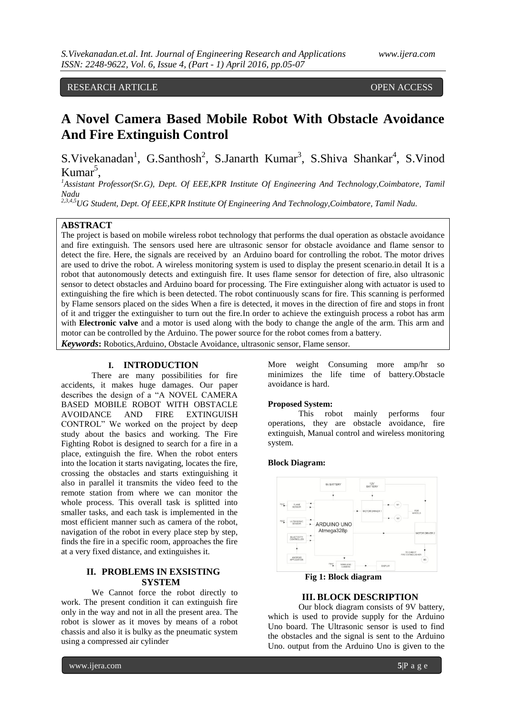# RESEARCH ARTICLE OPEN ACCESS

# **A Novel Camera Based Mobile Robot With Obstacle Avoidance And Fire Extinguish Control**

S.Vivekanadan<sup>1</sup>, G.Santhosh<sup>2</sup>, S.Janarth Kumar<sup>3</sup>, S.Shiva Shankar<sup>4</sup>, S.Vinod Kumar<sup>5</sup>,

<sup>1</sup>*Assistant Professor(Sr.G), Dept. Of EEE,KPR Institute Of Engineering And Technology, Coimbatore, Tamil Nadu*

*2,3,4,5UG Student, Dept. Of EEE,KPR Institute Of Engineering And Technology,Coimbatore, Tamil Nadu.*

# **ABSTRACT**

The project is based on mobile wireless robot technology that performs the dual operation as obstacle avoidance and fire extinguish. The sensors used here are ultrasonic sensor for obstacle avoidance and flame sensor to detect the fire. Here, the signals are received by an Arduino board for controlling the robot. The motor drives are used to drive the robot. A wireless monitoring system is used to display the present scenario.in detail It is a robot that autonomously detects and extinguish fire. It uses flame sensor for detection of fire, also ultrasonic sensor to detect obstacles and Arduino board for processing. The Fire extinguisher along with actuator is used to extinguishing the fire which is been detected. The robot continuously scans for fire. This scanning is performed by Flame sensors placed on the sides When a fire is detected, it moves in the direction of fire and stops in front of it and trigger the extinguisher to turn out the fire.In order to achieve the extinguish process a robot has arm with **Electronic valve** and a motor is used along with the body to change the angle of the arm. This arm and motor can be controlled by the Arduino. The power source for the robot comes from a battery. *Keywords***:** Robotics,Arduino, Obstacle Avoidance, ultrasonic sensor, Flame sensor.

## **I. INTRODUCTION**

There are many possibilities for fire accidents, it makes huge damages. Our paper describes the design of a "A NOVEL CAMERA BASED MOBILE ROBOT WITH OBSTACLE AVOIDANCE AND FIRE EXTINGUISH CONTROL" We worked on the project by deep study about the basics and working. The Fire Fighting Robot is designed to search for a fire in a place, extinguish the fire. When the robot enters into the location it starts navigating, locates the fire, crossing the obstacles and starts extinguishing it also in parallel it transmits the video feed to the remote station from where we can monitor the whole process. This overall task is splitted into smaller tasks, and each task is implemented in the most efficient manner such as camera of the robot, navigation of the robot in every place step by step, finds the fire in a specific room, approaches the fire at a very fixed distance, and extinguishes it.

## **II. PROBLEMS IN EXSISTING SYSTEM**

We Cannot force the robot directly to work. The present condition it can extinguish fire only in the way and not in all the present area. The robot is slower as it moves by means of a robot chassis and also it is bulky as the pneumatic system using a compressed air cylinder

More weight Consuming more amp/hr so minimizes the life time of battery.Obstacle avoidance is hard.

#### **Proposed System:**

This robot mainly performs four operations, they are obstacle avoidance, fire extinguish, Manual control and wireless monitoring system.

#### **Block Diagram:**



 **Fig 1: Block diagram**

## **III. BLOCK DESCRIPTION**

Our block diagram consists of 9V battery, which is used to provide supply for the Arduino Uno board. The Ultrasonic sensor is used to find the obstacles and the signal is sent to the Arduino Uno. output from the Arduino Uno is given to the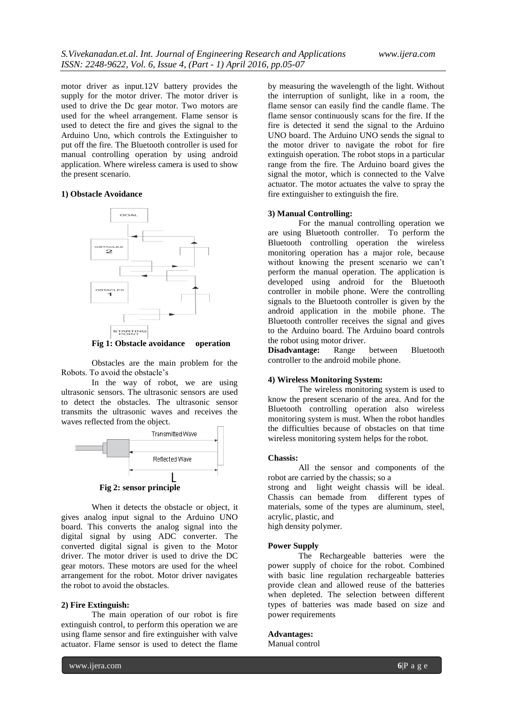motor driver as input.12V battery provides the supply for the motor driver. The motor driver is used to drive the Dc gear motor. Two motors are used for the wheel arrangement. Flame sensor is used to detect the fire and gives the signal to the Arduino Uno, which controls the Extinguisher to put off the fire. The Bluetooth controller is used for manual controlling operation by using android application. Where wireless camera is used to show the present scenario.

### **1) Obstacle Avoidance**



**Fig 1: Obstacle avoidance operation**

Obstacles are the main problem for the Robots. To avoid the obstacle's

In the way of robot, we are using ultrasonic sensors. The ultrasonic sensors are used to detect the obstacles. The ultrasonic sensor transmits the ultrasonic waves and receives the waves reflected from the object.



When it detects the obstacle or object, it gives analog input signal to the Arduino UNO board. This converts the analog signal into the digital signal by using ADC converter. The converted digital signal is given to the Motor driver. The motor driver is used to drive the DC gear motors. These motors are used for the wheel arrangement for the robot. Motor driver navigates the robot to avoid the obstacles.

#### **2) Fire Extinguish:**

The main operation of our robot is fire extinguish control, to perform this operation we are using flame sensor and fire extinguisher with valve actuator. Flame sensor is used to detect the flame

by measuring the wavelength of the light. Without the interruption of sunlight, like in a room, the flame sensor can easily find the candle flame. The flame sensor continuously scans for the fire. If the fire is detected it send the signal to the Arduino UNO board. The Arduino UNO sends the signal to the motor driver to navigate the robot for fire extinguish operation. The robot stops in a particular range from the fire. The Arduino board gives the signal the motor, which is connected to the Valve actuator. The motor actuates the valve to spray the fire extinguisher to extinguish the fire.

## **3) Manual Controlling:**

For the manual controlling operation we are using Bluetooth controller. To perform the Bluetooth controlling operation the wireless monitoring operation has a major role, because without knowing the present scenario we can't perform the manual operation. The application is developed using android for the Bluetooth controller in mobile phone. Were the controlling signals to the Bluetooth controller is given by the android application in the mobile phone. The Bluetooth controller receives the signal and gives to the Arduino board. The Arduino board controls the robot using motor driver.

**Disadvantage:** Range between Bluetooth controller to the android mobile phone.

#### **4) Wireless Monitoring System:**

The wireless monitoring system is used to know the present scenario of the area. And for the Bluetooth controlling operation also wireless monitoring system is must. When the robot handles the difficulties because of obstacles on that time wireless monitoring system helps for the robot.

#### **Chassis:**

All the sensor and components of the robot are carried by the chassis; so a

strong and light weight chassis will be ideal. Chassis can bemade from different types of materials, some of the types are aluminum, steel, acrylic, plastic, and

high density polymer.

#### **Power Supply**

The Rechargeable batteries were the power supply of choice for the robot. Combined with basic line regulation rechargeable batteries provide clean and allowed reuse of the batteries when depleted. The selection between different types of batteries was made based on size and power requirements

#### **Advantages:**

Manual control